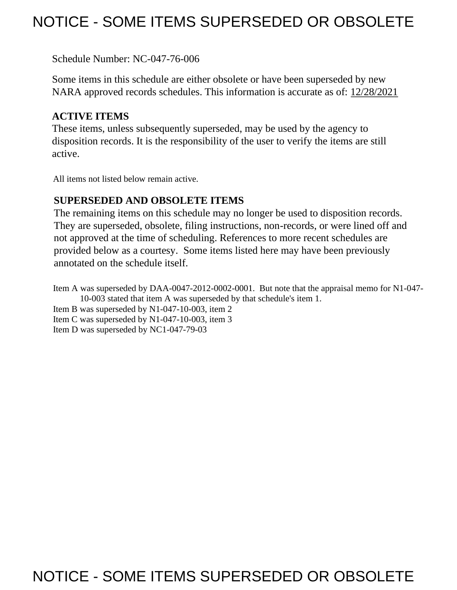## NOTICE - SOME ITEMS SUPERSEDED OR OBSOLETE

Schedule Number: NC-047-76-006

 Some items in this schedule are either obsolete or have been superseded by new NARA approved records schedules. This information is accurate as of: 12/28/2021

## **ACTIVE ITEMS**

 These items, unless subsequently superseded, may be used by the agency to disposition records. It is the responsibility of the user to verify the items are still active.

All items not listed below remain active.

## **SUPERSEDED AND OBSOLETE ITEMS**

 The remaining items on this schedule may no longer be used to disposition records. not approved at the time of scheduling. References to more recent schedules are provided below as a courtesy. Some items listed here may have been previously They are superseded, obsolete, filing instructions, non-records, or were lined off and annotated on the schedule itself.

Item A was superseded by DAA-0047-2012-0002-0001. But note that the appraisal memo for N1-047- 10-003 stated that item A was superseded by that schedule's item 1.

Item B was superseded by N1-047-10-003, item 2

Item C was superseded by N1-047-10-003, item 3

Item D was superseded by NC1-047-79-03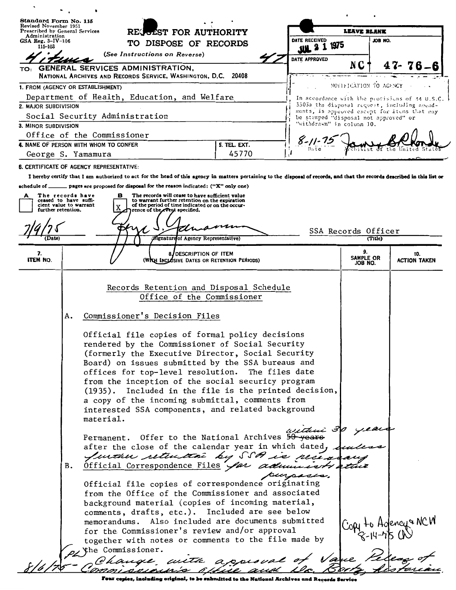| Standard Form No. 115                                                 |                                                                                                                   |                                                                                                       |                           |                                                                                                    |                                                                                                                                                                           |  |                                       |                             |                                    |                                                                                              |  |
|-----------------------------------------------------------------------|-------------------------------------------------------------------------------------------------------------------|-------------------------------------------------------------------------------------------------------|---------------------------|----------------------------------------------------------------------------------------------------|---------------------------------------------------------------------------------------------------------------------------------------------------------------------------|--|---------------------------------------|-----------------------------|------------------------------------|----------------------------------------------------------------------------------------------|--|
| Revised November 1951<br>Prescribed by General Services               |                                                                                                                   |                                                                                                       |                           | RECOLST FOR AUTHORITY                                                                              |                                                                                                                                                                           |  | LEAVE BLANK                           |                             |                                    |                                                                                              |  |
| Administration<br>GSA Reg. $3-IV-106$                                 |                                                                                                                   |                                                                                                       | TO DISPOSE OF RECORDS     |                                                                                                    |                                                                                                                                                                           |  | DATE RECEIVED<br>1975                 |                             | JOB NO.                            |                                                                                              |  |
| 115-103                                                               | (See Instructions on Reverse)                                                                                     |                                                                                                       |                           |                                                                                                    |                                                                                                                                                                           |  | <b>JUL</b>                            |                             |                                    |                                                                                              |  |
|                                                                       |                                                                                                                   |                                                                                                       |                           |                                                                                                    |                                                                                                                                                                           |  | <b>DATE APPROVED</b>                  | N C                         |                                    |                                                                                              |  |
| TO:                                                                   |                                                                                                                   | GENERAL SERVICES ADMINISTRATION,<br>NATIONAL ARCHIVES AND RECORDS SERVICE, WASHINGTON, D.C. 20408     |                           |                                                                                                    |                                                                                                                                                                           |  |                                       |                             |                                    |                                                                                              |  |
| 1. FROM (AGENCY OR ESTABLISHMENT)                                     |                                                                                                                   |                                                                                                       |                           |                                                                                                    |                                                                                                                                                                           |  |                                       | NOTIFICATION TO AGENCY      |                                    |                                                                                              |  |
| Department of Health, Education, and Welfare                          |                                                                                                                   |                                                                                                       |                           |                                                                                                    |                                                                                                                                                                           |  |                                       |                             |                                    | In accordance with the provisions of 44 U.S.C.                                               |  |
| 2. MAJOR SUBDIVISION                                                  |                                                                                                                   |                                                                                                       |                           |                                                                                                    |                                                                                                                                                                           |  |                                       |                             |                                    | 3503a the disposal request, including amend-<br>ments, is approved except for items that may |  |
| Social Security Administration                                        |                                                                                                                   |                                                                                                       |                           |                                                                                                    |                                                                                                                                                                           |  | be stamped "disposal not approved" or |                             |                                    |                                                                                              |  |
| 3. MINOR SUBDIVISION                                                  |                                                                                                                   |                                                                                                       | "withdrawn" in colusm 10. |                                                                                                    |                                                                                                                                                                           |  |                                       |                             |                                    |                                                                                              |  |
| Office of the Commissioner                                            |                                                                                                                   |                                                                                                       | $8 - 11 - 7.$             |                                                                                                    |                                                                                                                                                                           |  |                                       |                             |                                    |                                                                                              |  |
| 4. NAME OF PERSON WITH WHOM TO CONFER<br>George S. Yamamura           |                                                                                                                   |                                                                                                       |                           |                                                                                                    | 5. TEL. EXT.<br>45770                                                                                                                                                     |  |                                       |                             |                                    |                                                                                              |  |
|                                                                       |                                                                                                                   | <b>6. CERTIFICATE OF AGENCY REPRESENTATIVE:</b>                                                       |                           |                                                                                                    |                                                                                                                                                                           |  |                                       |                             |                                    |                                                                                              |  |
|                                                                       |                                                                                                                   |                                                                                                       |                           |                                                                                                    | I hereby certify that I am authorized to act for the head of this agency in matters pertaining to the disposal of records, and that the records described in this list or |  |                                       |                             |                                    |                                                                                              |  |
| schedule of $\overline{\phantom{a}}$                                  |                                                                                                                   | pages are proposed for disposal for the reason indicated: ("X" only one)                              |                           |                                                                                                    |                                                                                                                                                                           |  |                                       |                             |                                    |                                                                                              |  |
| The records have<br>А                                                 |                                                                                                                   | в                                                                                                     |                           | The records will cease to have sufficient value                                                    |                                                                                                                                                                           |  |                                       |                             |                                    |                                                                                              |  |
| ceased to have suffi-<br>cient value to warrant<br>further retention. |                                                                                                                   |                                                                                                       |                           | to warrant further retention on the expiration<br>of the period of time indicated or on the occur- |                                                                                                                                                                           |  |                                       |                             |                                    |                                                                                              |  |
|                                                                       |                                                                                                                   |                                                                                                       |                           | rence of the event specified.                                                                      |                                                                                                                                                                           |  |                                       |                             |                                    |                                                                                              |  |
|                                                                       |                                                                                                                   |                                                                                                       |                           |                                                                                                    |                                                                                                                                                                           |  |                                       |                             |                                    |                                                                                              |  |
| (Date)                                                                |                                                                                                                   |                                                                                                       |                           | (Signature of Agency Representative)                                                               |                                                                                                                                                                           |  |                                       | SSA Records Officer         | (Title)                            |                                                                                              |  |
|                                                                       |                                                                                                                   |                                                                                                       |                           | 8.                                                                                                 |                                                                                                                                                                           |  |                                       | 9.                          |                                    |                                                                                              |  |
| 7.<br><b>ITEM NO.</b>                                                 |                                                                                                                   |                                                                                                       |                           | DESCRIPTION OF ITEM<br>(WRH INCLOSIVE DATES OR RETENTION PERIODS)                                  |                                                                                                                                                                           |  |                                       | <b>SAMPLE OR</b><br>JOB NO. |                                    | 10.<br><b>ACTION TAKEN</b>                                                                   |  |
|                                                                       |                                                                                                                   |                                                                                                       |                           |                                                                                                    |                                                                                                                                                                           |  |                                       |                             |                                    |                                                                                              |  |
|                                                                       |                                                                                                                   |                                                                                                       |                           |                                                                                                    |                                                                                                                                                                           |  |                                       |                             |                                    |                                                                                              |  |
|                                                                       |                                                                                                                   | Records Retention and Disposal Schedule<br>Office of the Commissioner                                 |                           |                                                                                                    |                                                                                                                                                                           |  |                                       |                             |                                    |                                                                                              |  |
|                                                                       |                                                                                                                   |                                                                                                       |                           |                                                                                                    |                                                                                                                                                                           |  |                                       |                             |                                    |                                                                                              |  |
|                                                                       | Commissioner's Decision Files<br>Α.                                                                               |                                                                                                       |                           |                                                                                                    |                                                                                                                                                                           |  |                                       |                             |                                    |                                                                                              |  |
|                                                                       |                                                                                                                   |                                                                                                       |                           |                                                                                                    |                                                                                                                                                                           |  |                                       |                             |                                    |                                                                                              |  |
|                                                                       |                                                                                                                   | Official file copies of formal policy decisions<br>rendered by the Commissioner of Social Security    |                           |                                                                                                    |                                                                                                                                                                           |  |                                       |                             |                                    |                                                                                              |  |
|                                                                       |                                                                                                                   |                                                                                                       |                           |                                                                                                    |                                                                                                                                                                           |  |                                       |                             |                                    |                                                                                              |  |
|                                                                       |                                                                                                                   |                                                                                                       |                           |                                                                                                    | (formerly the Executive Director, Social Security                                                                                                                         |  |                                       |                             |                                    |                                                                                              |  |
|                                                                       | Board) on issues submitted by the SSA bureaus and<br>offices for top-level resolution. The files date             |                                                                                                       |                           |                                                                                                    |                                                                                                                                                                           |  |                                       |                             |                                    |                                                                                              |  |
|                                                                       |                                                                                                                   | from the inception of the social security program                                                     |                           |                                                                                                    |                                                                                                                                                                           |  |                                       |                             |                                    |                                                                                              |  |
|                                                                       |                                                                                                                   |                                                                                                       |                           |                                                                                                    | (1935). Included in the file is the printed decision,                                                                                                                     |  |                                       |                             |                                    |                                                                                              |  |
|                                                                       |                                                                                                                   | a copy of the incoming submittal, comments from                                                       |                           |                                                                                                    |                                                                                                                                                                           |  |                                       |                             |                                    |                                                                                              |  |
|                                                                       | interested SSA components, and related background                                                                 |                                                                                                       |                           |                                                                                                    |                                                                                                                                                                           |  |                                       |                             |                                    |                                                                                              |  |
|                                                                       |                                                                                                                   | material.                                                                                             |                           |                                                                                                    |                                                                                                                                                                           |  |                                       |                             |                                    |                                                                                              |  |
|                                                                       |                                                                                                                   |                                                                                                       |                           |                                                                                                    |                                                                                                                                                                           |  | within 30 years                       |                             |                                    |                                                                                              |  |
|                                                                       | Permanent. Offer to the National Archives 50-years<br>after the close of the calendar year in which dated, duller |                                                                                                       |                           |                                                                                                    |                                                                                                                                                                           |  |                                       |                             |                                    |                                                                                              |  |
|                                                                       |                                                                                                                   |                                                                                                       |                           |                                                                                                    | Juntan settutan by SSA is necessary                                                                                                                                       |  |                                       |                             |                                    |                                                                                              |  |
|                                                                       | в.                                                                                                                |                                                                                                       |                           |                                                                                                    | Official Correspondence Files for administrative                                                                                                                          |  |                                       |                             |                                    |                                                                                              |  |
|                                                                       |                                                                                                                   |                                                                                                       |                           |                                                                                                    |                                                                                                                                                                           |  | purpose.                              |                             |                                    |                                                                                              |  |
|                                                                       |                                                                                                                   |                                                                                                       |                           |                                                                                                    | Official file copies of correspondence originating                                                                                                                        |  |                                       |                             |                                    |                                                                                              |  |
|                                                                       |                                                                                                                   |                                                                                                       |                           |                                                                                                    | from the Office of the Commissioner and associated                                                                                                                        |  |                                       |                             |                                    |                                                                                              |  |
|                                                                       |                                                                                                                   | background material (copies of incoming material,                                                     |                           |                                                                                                    |                                                                                                                                                                           |  |                                       |                             |                                    |                                                                                              |  |
|                                                                       |                                                                                                                   | comments, drafts, etc.). Included are see below<br>memorandums. Also included are documents submitted |                           |                                                                                                    |                                                                                                                                                                           |  |                                       |                             |                                    |                                                                                              |  |
|                                                                       | for the Commissioner's review and/or approval                                                                     |                                                                                                       |                           |                                                                                                    |                                                                                                                                                                           |  |                                       |                             | Copy to Agency & NCW<br>8-14-75 CN |                                                                                              |  |
|                                                                       | together with notes or comments to the file made by                                                               |                                                                                                       |                           |                                                                                                    |                                                                                                                                                                           |  |                                       |                             |                                    |                                                                                              |  |
|                                                                       |                                                                                                                   | $\mathcal{P}$ the Commissioner.                                                                       |                           |                                                                                                    |                                                                                                                                                                           |  |                                       |                             |                                    |                                                                                              |  |
|                                                                       |                                                                                                                   |                                                                                                       |                           |                                                                                                    | change with appearal of Vane Pelez of                                                                                                                                     |  |                                       |                             |                                    |                                                                                              |  |
|                                                                       |                                                                                                                   |                                                                                                       |                           |                                                                                                    |                                                                                                                                                                           |  |                                       |                             |                                    |                                                                                              |  |